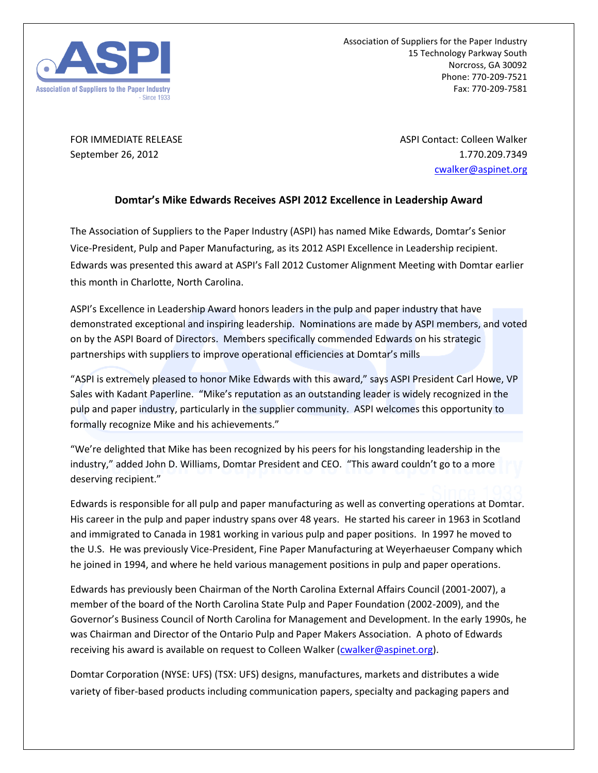

Association of Suppliers for the Paper Industry 15 Technology Parkway South Norcross, GA 30092 Phone: 770-209-7521 Fax: 770-209-7581

FOR IMMEDIATE RELEASE ASPI Contact: Colleen Walker September 26, 2012 1.770.209.7349 [cwalker@aspinet.org](mailto:cwalker@aspinet.org)

## **Domtar's Mike Edwards Receives ASPI 2012 Excellence in Leadership Award**

The Association of Suppliers to the Paper Industry (ASPI) has named Mike Edwards, Domtar's Senior Vice-President, Pulp and Paper Manufacturing, as its 2012 ASPI Excellence in Leadership recipient. Edwards was presented this award at ASPI's Fall 2012 Customer Alignment Meeting with Domtar earlier this month in Charlotte, North Carolina.

ASPI's Excellence in Leadership Award honors leaders in the pulp and paper industry that have demonstrated exceptional and inspiring leadership. Nominations are made by ASPI members, and voted on by the ASPI Board of Directors. Members specifically commended Edwards on his strategic partnerships with suppliers to improve operational efficiencies at Domtar's mills

"ASPI is extremely pleased to honor Mike Edwards with this award," says ASPI President Carl Howe, VP Sales with Kadant Paperline. "Mike's reputation as an outstanding leader is widely recognized in the pulp and paper industry, particularly in the supplier community. ASPI welcomes this opportunity to formally recognize Mike and his achievements."

"We're delighted that Mike has been recognized by his peers for his longstanding leadership in the industry," added John D. Williams, Domtar President and CEO. "This award couldn't go to a more deserving recipient."

Edwards is responsible for all pulp and paper manufacturing as well as converting operations at Domtar. His career in the pulp and paper industry spans over 48 years. He started his career in 1963 in Scotland and immigrated to Canada in 1981 working in various pulp and paper positions. In 1997 he moved to the U.S. He was previously Vice-President, Fine Paper Manufacturing at Weyerhaeuser Company which he joined in 1994, and where he held various management positions in pulp and paper operations.

Edwards has previously been Chairman of the North Carolina External Affairs Council (2001-2007), a member of the board of the North Carolina State Pulp and Paper Foundation (2002-2009), and the Governor's Business Council of North Carolina for Management and Development. In the early 1990s, he was Chairman and Director of the Ontario Pulp and Paper Makers Association. A photo of Edwards receiving his award is available on request to Colleen Walker [\(cwalker@aspinet.org\)](mailto:cwalker@aspinet.org).

Domtar Corporation (NYSE: UFS) (TSX: UFS) designs, manufactures, markets and distributes a wide variety of fiber-based products including communication papers, specialty and packaging papers and